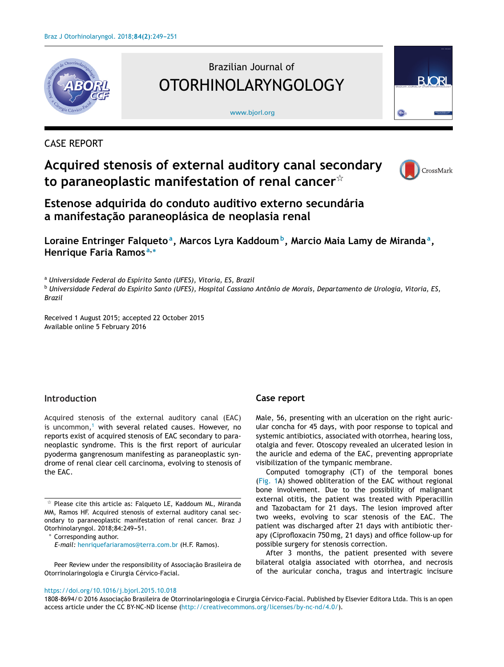

# Brazilian Journal of OTORHINOLARYNGOLOGY

#### [www.bjorl.org](http://www.bjorl.org)



### CASE REPORT

## **Acquired stenosis of external auditory canal secondary to paraneoplastic manifestation of renal cancer**-



**Estenose adquirida do conduto auditivo externo secundária a manifestac¸ão paraneoplásica de neoplasia renal**

**Loraine Entringer Falquetoa, Marcos Lyra Kaddoumb, Marcio Maia Lamy de Mirandaa, Henrique Faria Ramos <sup>a</sup>,<sup>∗</sup>**

<sup>a</sup> *Universidade Federal do Espírito Santo (UFES), Vitoria, ES, Brazil*

<sup>b</sup> Universidade Federal do Espírito Santo (UFES), Hospital Cassiano Antônio de Morais, Departamento de Urologia, Vitoria, ES, *Brazil*

Received 1 August 2015; accepted 22 October 2015 Available online 5 February 2016

#### **Introduction**

Acquired stenosis of the external auditory canal (EAC) is uncommon, $1$  with several related causes. However, no reports exist of acquired stenosis of EAC secondary to paraneoplastic syndrome. This is the first report of auricular pyoderma gangrenosum manifesting as paraneoplastic syndrome of renal clear cell carcinoma, evolving to stenosis of the EAC.

Peer Review under the responsibility of Associação Brasileira de Otorrinolaringologia e Cirurgia Cérvico-Facial.

#### **Case report**

Male, 56, presenting with an ulceration on the right auricular concha for 45 days, with poor response to topical and systemic antibiotics, associated with otorrhea, hearing loss, otalgia and fever. Otoscopy revealed an ulcerated lesion in the auricle and edema of the EAC, preventing appropriate visibilization of the tympanic membrane.

Computed tomography (CT) of the temporal bones ([Fig.](#page-1-0) 1A) showed obliteration of the EAC without regional bone involvement. Due to the possibility of malignant external otitis, the patient was treated with Piperacillin and Tazobactam for 21 days. The lesion improved after two weeks, evolving to scar stenosis of the EAC. The patient was discharged after 21 days with antibiotic therapy (Ciprofloxacin 750 mg, 21 days) and office follow-up for possible surgery for stenosis correction.

After 3 months, the patient presented with severe bilateral otalgia associated with otorrhea, and necrosis of the auricular concha, tragus and intertragic incisure

<https://doi.org/10.1016/j.bjorl.2015.10.018>

1808-8694/© 2016 Associação Brasileira de Otorrinolaringologia e Cirurgia Cérvico-Facial. Published by Elsevier Editora Ltda. This is an open access article under the CC BY-NC-ND license ([http://creativecommons.org/licenses/by-nc-nd/4.0/\)](http://creativecommons.org/licenses/by-nc-nd/4.0/).

 $\mathrm{\star}\,$  Please cite this article as: Falqueto LE, Kaddoum ML, Miranda MM, Ramos HF. Acquired stenosis of external auditory canal secondary to paraneoplastic manifestation of renal cancer. Braz J Otorhinolaryngol. 2018;84:249-51.

Corresponding author. *E-mail:* [henriquefariaramos@terra.com.br](mailto:henriquefariaramos@terra.com.br) (H.F. Ramos).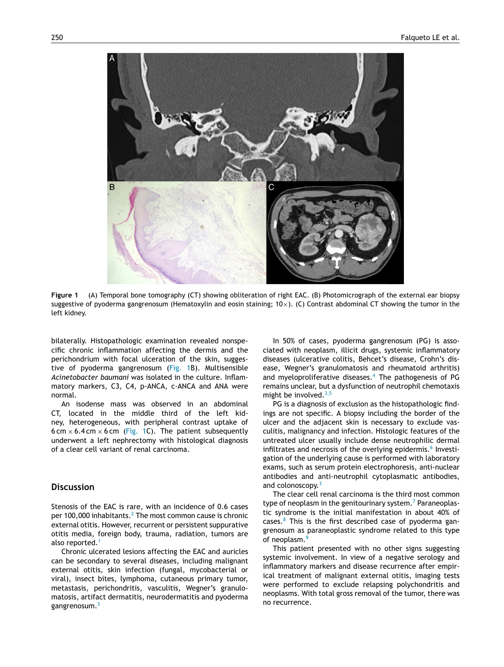<span id="page-1-0"></span>

**Figure 1** (A) Temporal bone tomography (CT) showing obliteration of right EAC. (B) Photomicrograph of the external ear biopsy suggestive of pyoderma gangrenosum (Hematoxylin and eosin staining;  $10\times$ ). (C) Contrast abdominal CT showing the tumor in the left kidney.

bilaterally. Histopathologic examination revealed nonspecific chronic inflammation affecting the dermis and the perichondrium with focal ulceration of the skin, suggestive of pyoderma gangrenosum (Fig. 1B). Multisensible *Acinetobacter baumani* was isolated in the culture. Inflammatory markers, C3, C4, p-ANCA, c-ANCA and ANA were normal.

An isodense mass was observed in an abdominal CT, located in the middle third of the left kidney, heterogeneous, with peripheral contrast uptake of 6 cm  $\times$  6.4 cm  $\times$  6 cm (Fig. 1C). The patient subsequently underwent a left nephrectomy with histological diagnosis of a clear cell variant of renal carcinoma.

#### **Discussion**

Stenosis of the EAC is rare, with an incidence of 0.6 cases per 100,000 inhabitants. $<sup>2</sup>$  [T](#page-2-0)he most common cause is chronic</sup> external otitis. However, recurrent or persistent suppurative otitis media, foreign body, trauma, radiation, tumors are also reported.<sup>[1](#page-2-0)</sup>

Chronic ulcerated lesions affecting the EAC and auricles can be secondary to several diseases, including malignant external otitis, skin infection (fungal, mycobacterial or viral), insect bites, lymphoma, cutaneous primary tumor, metastasis, perichondritis, vasculitis, Wegner's granulomatosis, artifact dermatitis, neurodermatitis and pyoderma gangrenosum.<sup>[3](#page-2-0)</sup>

In 50% of cases, pyoderma gangrenosum (PG) is associated with neoplasm, illicit drugs, systemic inflammatory diseases (ulcerative colitis, Behcet's disease, Crohn's disease, Wegner's granulomatosis and rheumatoid arthritis) and myeloproliferative diseases.<sup>[4](#page-2-0)</sup> The pathogenesis of PG remains unclear, but a dysfunction of neutrophil chemotaxis might be involved. $3,5$ 

PG is a diagnosis of exclusion as the histopathologic findings are not specific. A biopsy including the border of the ulcer and the adjacent skin is necessary to exclude vasculitis, malignancy and infection. Histologic features of the untreated ulcer usually include dense neutrophilic dermal infiltrates and necrosis of the overlying epidermis.<sup>[6](#page-2-0)</sup> Investigation of the underlying cause is performed with laboratory exams, such as serum protein electrophoresis, anti-nuclear antibodies and anti-neutrophil cytoplasmatic antibodies, and colonoscopy.<sup>[3](#page-2-0)</sup>

The clear cell renal carcinoma is the third most common type of neoplasm in the genitourinary system.<sup>7</sup> [P](#page-2-0)araneoplastic syndrome is the initial manifestation in about 40% of cases. $8$  This is the first described case of pyoderma gangrenosum as paraneoplastic syndrome related to this type of neoplasm.<sup>[9](#page-2-0)</sup>

This patient presented with no other signs suggesting systemic involvement. In view of a negative serology and inflammatory markers and disease recurrence after empirical treatment of malignant external otitis, imaging tests were performed to exclude relapsing polychondritis and neoplasms. With total gross removal of the tumor, there was no recurrence.